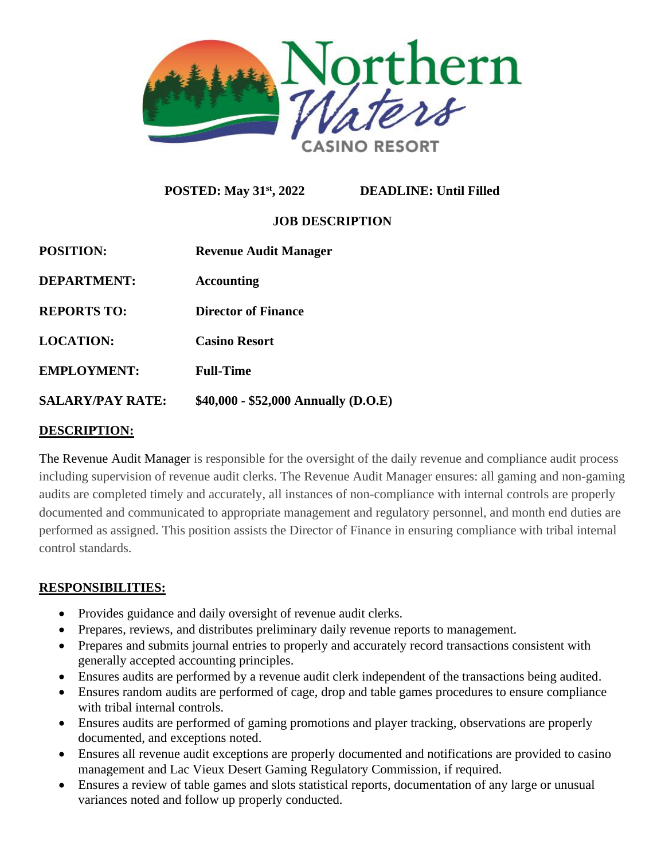

**POSTED: May 31st, 2022 DEADLINE: Until Filled**

# **JOB DESCRIPTION**

| <b>POSITION:</b>        | <b>Revenue Audit Manager</b>         |
|-------------------------|--------------------------------------|
| <b>DEPARTMENT:</b>      | <b>Accounting</b>                    |
| <b>REPORTS TO:</b>      | Director of Finance                  |
| <b>LOCATION:</b>        | <b>Casino Resort</b>                 |
| <b>EMPLOYMENT:</b>      | <b>Full-Time</b>                     |
| <b>SALARY/PAY RATE:</b> | $$40,000 - $52,000$ Annually (D.O.E) |
|                         |                                      |

## **DESCRIPTION:**

The Revenue Audit Manager is responsible for the oversight of the daily revenue and compliance audit process including supervision of revenue audit clerks. The Revenue Audit Manager ensures: all gaming and non-gaming audits are completed timely and accurately, all instances of non-compliance with internal controls are properly documented and communicated to appropriate management and regulatory personnel, and month end duties are performed as assigned. This position assists the Director of Finance in ensuring compliance with tribal internal control standards.

## **RESPONSIBILITIES:**

- Provides guidance and daily oversight of revenue audit clerks.
- Prepares, reviews, and distributes preliminary daily revenue reports to management.
- Prepares and submits journal entries to properly and accurately record transactions consistent with generally accepted accounting principles.
- Ensures audits are performed by a revenue audit clerk independent of the transactions being audited.
- Ensures random audits are performed of cage, drop and table games procedures to ensure compliance with tribal internal controls.
- Ensures audits are performed of gaming promotions and player tracking, observations are properly documented, and exceptions noted.
- Ensures all revenue audit exceptions are properly documented and notifications are provided to casino management and Lac Vieux Desert Gaming Regulatory Commission, if required.
- Ensures a review of table games and slots statistical reports, documentation of any large or unusual variances noted and follow up properly conducted.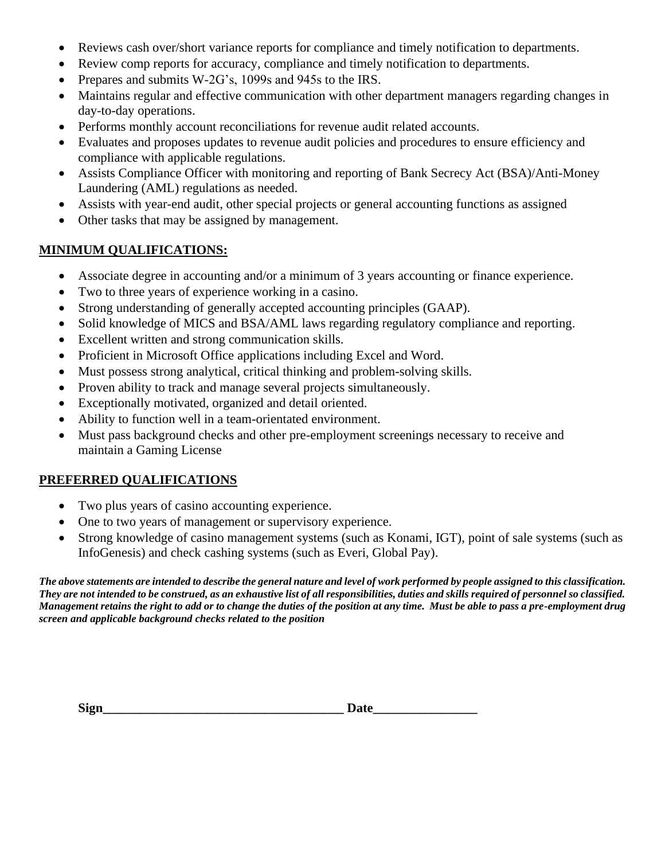- Reviews cash over/short variance reports for compliance and timely notification to departments.
- Review comp reports for accuracy, compliance and timely notification to departments.
- Prepares and submits W-2G's, 1099s and 945s to the IRS.
- Maintains regular and effective communication with other department managers regarding changes in day-to-day operations.
- Performs monthly account reconciliations for revenue audit related accounts.
- Evaluates and proposes updates to revenue audit policies and procedures to ensure efficiency and compliance with applicable regulations.
- Assists Compliance Officer with monitoring and reporting of Bank Secrecy Act (BSA)/Anti-Money Laundering (AML) regulations as needed.
- Assists with year-end audit, other special projects or general accounting functions as assigned
- Other tasks that may be assigned by management.

### **MINIMUM QUALIFICATIONS:**

- Associate degree in accounting and/or a minimum of 3 years accounting or finance experience.
- Two to three years of experience working in a casino.
- Strong understanding of generally accepted accounting principles (GAAP).
- Solid knowledge of MICS and BSA/AML laws regarding regulatory compliance and reporting.
- Excellent written and strong communication skills.
- Proficient in Microsoft Office applications including Excel and Word.
- Must possess strong analytical, critical thinking and problem-solving skills.
- Proven ability to track and manage several projects simultaneously.
- Exceptionally motivated, organized and detail oriented.
- Ability to function well in a team-orientated environment.
- Must pass background checks and other pre-employment screenings necessary to receive and maintain a Gaming License

## **PREFERRED QUALIFICATIONS**

- Two plus years of casino accounting experience.
- One to two years of management or supervisory experience.
- Strong knowledge of casino management systems (such as Konami, IGT), point of sale systems (such as InfoGenesis) and check cashing systems (such as Everi, Global Pay).

*The above statements are intended to describe the general nature and level of work performed by people assigned to this classification. They are not intended to be construed, as an exhaustive list of all responsibilities, duties and skills required of personnel so classified. Management retains the right to add or to change the duties of the position at any time. Must be able to pass a pre-employment drug screen and applicable background checks related to the position*

| $\sim$<br>Sigr |  |
|----------------|--|
| . .            |  |